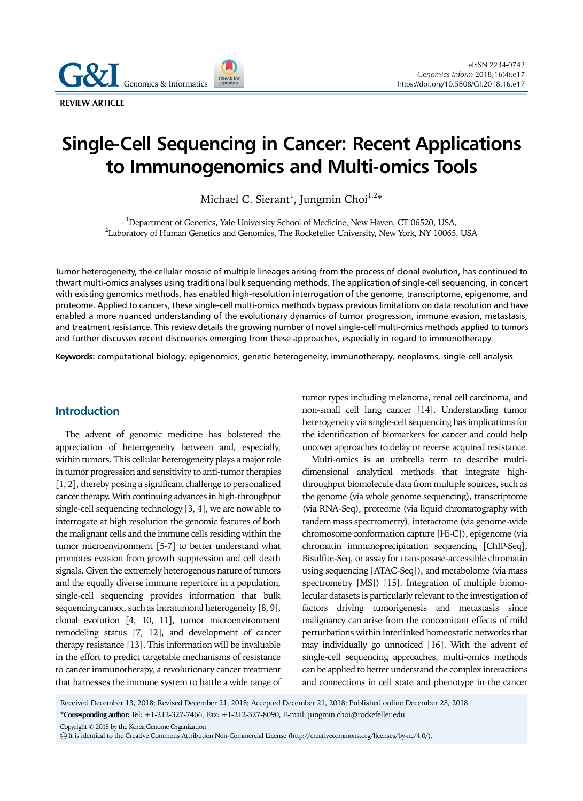Genomics & Informatics

**REVIEW ARTICLE** 

# **Single-Cell Sequencing in Cancer: Recent Applications to Immunogenomics and Multi-omics Tools**

Michael C. Sierant $^{\rm l}$ , Jungmin Choi $^{\rm l,2*}$ 

<sup>1</sup>Department of Genetics, Yale University School of Medicine, New Haven, CT 06520, USA,  $^{2}$ Laboratory of Human Genetics and Genomics, The Rockefeller University, New York, NY 10065, USA

Tumor heterogeneity, the cellular mosaic of multiple lineages arising from the process of clonal evolution, has continued to thwart multi-omics analyses using traditional bulk sequencing methods. The application of single-cell sequencing, in concert with existing genomics methods, has enabled high-resolution interrogation of the genome, transcriptome, epigenome, and proteome. Applied to cancers, these single-cell multi-omics methods bypass previous limitations on data resolution and have enabled a more nuanced understanding of the evolutionary dynamics of tumor progression, immune evasion, metastasis, and treatment resistance. This review details the growing number of novel single-cell multi-omics methods applied to tumors and further discusses recent discoveries emerging from these approaches, especially in regard to immunotherapy.

**Keywords:** computational biology, epigenomics, genetic heterogeneity, immunotherapy, neoplasms, single-cell analysis

## **Introduction**

The advent of genomic medicine has bolstered the appreciation of heterogeneity between and, especially, within tumors. This cellular heterogeneity plays a major role in tumor progression and sensitivity to anti-tumor therapies [1, 2], thereby posing a significant challenge to personalized cancer therapy. With continuing advances in high-throughput single-cell sequencing technology [3, 4], we are now able to interrogate at high resolution the genomic features of both the malignant cells and the immune cells residing within the tumor microenvironment [5-7] to better understand what promotes evasion from growth suppression and cell death signals. Given the extremely heterogenous nature of tumors and the equally diverse immune repertoire in a population, single-cell sequencing provides information that bulk sequencing cannot, such as intratumoral heterogeneity [8, 9], clonal evolution [4, 10, 11], tumor microenvironment remodeling status [7, 12], and development of cancer therapy resistance [13]. This information will be invaluable in the effort to predict targetable mechanisms of resistance to cancer immunotherapy, a revolutionary cancer treatment that harnesses the immune system to battle a wide range of tumor types including melanoma, renal cell carcinoma, and non-small cell lung cancer [14]. Understanding tumor heterogeneity via single-cell sequencing has implications for the identification of biomarkers for cancer and could help uncover approaches to delay or reverse acquired resistance.

Multi-omics is an umbrella term to describe multidimensional analytical methods that integrate highthroughput biomolecule data from multiple sources, such as the genome (via whole genome sequencing), transcriptome (via RNA-Seq), proteome (via liquid chromatography with tandem mass spectrometry), interactome (via genome-wide chromosome conformation capture [Hi-C]), epigenome (via chromatin immunoprecipitation sequencing [ChIP-Seq], Bisulfite-Seq, or assay for transposase-accessible chromatin using sequencing [ATAC-Seq]), and metabolome (via mass spectrometry [MS]) [15]. Integration of multiple biomolecular datasets is particularly relevant to the investigation of factors driving tumorigenesis and metastasis since malignancy can arise from the concomitant effects of mild perturbations within interlinked homeostatic networks that may individually go unnoticed [16]. With the advent of single-cell sequencing approaches, multi-omics methods can be applied to better understand the complex interactions and connections in cell state and phenotype in the cancer

Received December 13, 2018; Revised December 21, 2018; Accepted December 21, 2018; Published online December 28, 2018

**\*Corresponding author:** Tel: +1-212-327-7466, Fax: +1-212-327-8090, E-mail: jungmin.choi@rockefeller.edu

Copyright © 2018 by the Korea Genome Organization

CC It is identical to the Creative Commons Attribution Non-Commercial License (http://creativecommons.org/licenses/by-nc/4.0/).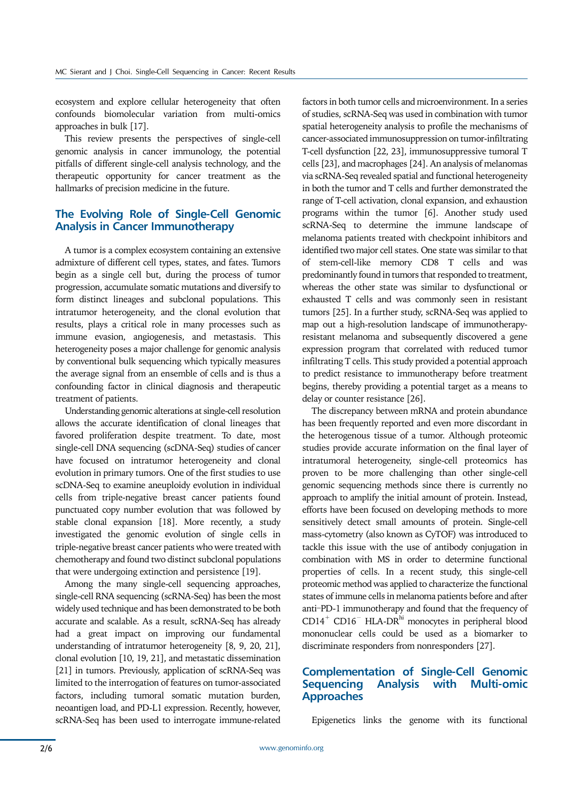ecosystem and explore cellular heterogeneity that often confounds biomolecular variation from multi-omics approaches in bulk [17].

This review presents the perspectives of single-cell genomic analysis in cancer immunology, the potential pitfalls of different single-cell analysis technology, and the therapeutic opportunity for cancer treatment as the hallmarks of precision medicine in the future.

## **The Evolving Role of Single-Cell Genomic Analysis in Cancer Immunotherapy**

A tumor is a complex ecosystem containing an extensive admixture of different cell types, states, and fates. Tumors begin as a single cell but, during the process of tumor progression, accumulate somatic mutations and diversify to form distinct lineages and subclonal populations. This intratumor heterogeneity, and the clonal evolution that results, plays a critical role in many processes such as immune evasion, angiogenesis, and metastasis. This heterogeneity poses a major challenge for genomic analysis by conventional bulk sequencing which typically measures the average signal from an ensemble of cells and is thus a confounding factor in clinical diagnosis and therapeutic treatment of patients.

Understanding genomic alterations at single-cell resolution allows the accurate identification of clonal lineages that favored proliferation despite treatment. To date, most single-cell DNA sequencing (scDNA-Seq) studies of cancer have focused on intratumor heterogeneity and clonal evolution in primary tumors. One of the first studies to use scDNA-Seq to examine aneuploidy evolution in individual cells from triple-negative breast cancer patients found punctuated copy number evolution that was followed by stable clonal expansion [18]. More recently, a study investigated the genomic evolution of single cells in triple-negative breast cancer patients who were treated with chemotherapy and found two distinct subclonal populations that were undergoing extinction and persistence [19].

Among the many single-cell sequencing approaches, single-cell RNA sequencing (scRNA-Seq) has been the most widely used technique and has been demonstrated to be both accurate and scalable. As a result, scRNA-Seq has already had a great impact on improving our fundamental understanding of intratumor heterogeneity [8, 9, 20, 21], clonal evolution [10, 19, 21], and metastatic dissemination [21] in tumors. Previously, application of scRNA-Seq was limited to the interrogation of features on tumor-associated factors, including tumoral somatic mutation burden, neoantigen load, and PD-L1 expression. Recently, however, scRNA-Seq has been used to interrogate immune-related

factors in both tumor cells and microenvironment. In a series of studies, scRNA-Seq was used in combination with tumor spatial heterogeneity analysis to profile the mechanisms of cancer-associated immunosuppression on tumor-infiltrating T-cell dysfunction [22, 23], immunosuppressive tumoral T cells [23], and macrophages [24]. An analysis of melanomas via scRNA-Seq revealed spatial and functional heterogeneity in both the tumor and T cells and further demonstrated the range of T-cell activation, clonal expansion, and exhaustion programs within the tumor [6]. Another study used scRNA-Seq to determine the immune landscape of melanoma patients treated with checkpoint inhibitors and identified two major cell states. One state was similar to that of stem-cell-like memory CD8 T cells and was predominantly found in tumors that responded to treatment, whereas the other state was similar to dysfunctional or exhausted T cells and was commonly seen in resistant tumors [25]. In a further study, scRNA-Seq was applied to map out a high-resolution landscape of immunotherapyresistant melanoma and subsequently discovered a gene expression program that correlated with reduced tumor infiltrating T cells. This study provided a potential approach to predict resistance to immunotherapy before treatment begins, thereby providing a potential target as a means to delay or counter resistance [26].

The discrepancy between mRNA and protein abundance has been frequently reported and even more discordant in the heterogenous tissue of a tumor. Although proteomic studies provide accurate information on the final layer of intratumoral heterogeneity, single-cell proteomics has proven to be more challenging than other single-cell genomic sequencing methods since there is currently no approach to amplify the initial amount of protein. Instead, efforts have been focused on developing methods to more sensitively detect small amounts of protein. Single-cell mass-cytometry (also known as CyTOF) was introduced to tackle this issue with the use of antibody conjugation in combination with MS in order to determine functional properties of cells. In a recent study, this single-cell proteomic method was applied to characterize the functional states of immune cells in melanoma patients before and after anti-PD-1 immunotherapy and found that the frequency of  $CD14^+$  CD16<sup>−</sup> HLA-DR<sup>hi</sup> monocytes in peripheral blood mononuclear cells could be used as a biomarker to discriminate responders from nonresponders [27].

# **Complementation of Single-Cell Genomic Sequencing Analysis with Multi-omic Approaches**

Epigenetics links the genome with its functional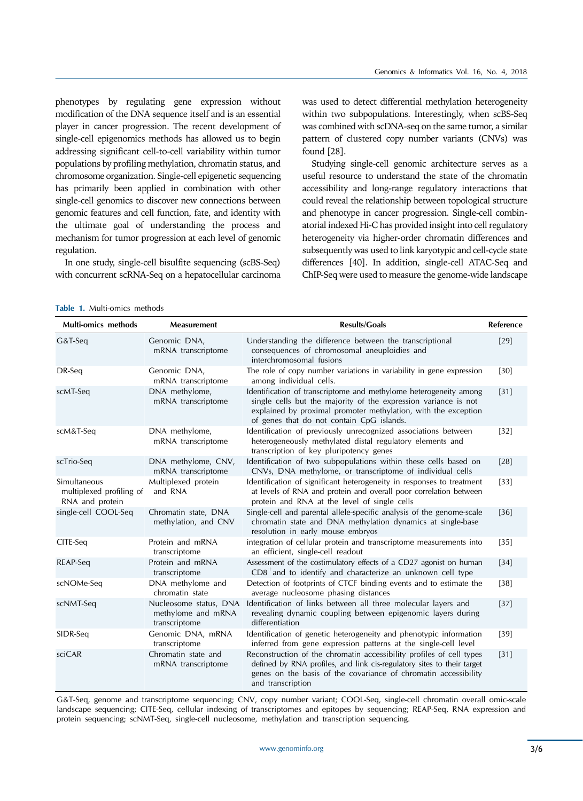phenotypes by regulating gene expression without modification of the DNA sequence itself and is an essential player in cancer progression. The recent development of single-cell epigenomics methods has allowed us to begin addressing significant cell-to-cell variability within tumor populations by profiling methylation, chromatin status, and chromosome organization. Single-cell epigenetic sequencing has primarily been applied in combination with other single-cell genomics to discover new connections between genomic features and cell function, fate, and identity with the ultimate goal of understanding the process and mechanism for tumor progression at each level of genomic regulation.

In one study, single-cell bisulfite sequencing (scBS-Seq) with concurrent scRNA-Seq on a hepatocellular carcinoma

was used to detect differential methylation heterogeneity within two subpopulations. Interestingly, when scBS-Seq was combined with scDNA-seq on the same tumor, a similar pattern of clustered copy number variants (CNVs) was found [28].

Studying single-cell genomic architecture serves as a useful resource to understand the state of the chromatin accessibility and long-range regulatory interactions that could reveal the relationship between topological structure and phenotype in cancer progression. Single-cell combinatorial indexed Hi-C has provided insight into cell regulatory heterogeneity via higher-order chromatin differences and subsequently was used to link karyotypic and cell-cycle state differences [40]. In addition, single-cell ATAC-Seq and ChIP-Seq were used to measure the genome-wide landscape

| <b>Multi-omics methods</b>                                  | Measurement                                                   | <b>Results/Goals</b>                                                                                                                                                                                                                                | Reference |
|-------------------------------------------------------------|---------------------------------------------------------------|-----------------------------------------------------------------------------------------------------------------------------------------------------------------------------------------------------------------------------------------------------|-----------|
| G&T-Seq                                                     | Genomic DNA,<br>mRNA transcriptome                            | Understanding the difference between the transcriptional<br>consequences of chromosomal aneuploidies and<br>interchromosomal fusions                                                                                                                | $[29]$    |
| DR-Seq                                                      | Genomic DNA,<br>mRNA transcriptome                            | The role of copy number variations in variability in gene expression<br>among individual cells.                                                                                                                                                     | $[30]$    |
| scMT-Seq                                                    | DNA methylome,<br>mRNA transcriptome                          | Identification of transcriptome and methylome heterogeneity among<br>single cells but the majority of the expression variance is not<br>explained by proximal promoter methylation, with the exception<br>of genes that do not contain CpG islands. | $[31]$    |
| scM&T-Seq                                                   | DNA methylome,<br>mRNA transcriptome                          | Identification of previously unrecognized associations between<br>heterogeneously methylated distal regulatory elements and<br>transcription of key pluripotency genes                                                                              | $[32]$    |
| scTrio-Seq                                                  | DNA methylome, CNV,<br>mRNA transcriptome                     | Identification of two subpopulations within these cells based on<br>CNVs, DNA methylome, or transcriptome of individual cells                                                                                                                       | [28]      |
| Simultaneous<br>multiplexed profiling of<br>RNA and protein | Multiplexed protein<br>and RNA                                | Identification of significant heterogeneity in responses to treatment<br>at levels of RNA and protein and overall poor correlation between<br>protein and RNA at the level of single cells                                                          | $[33]$    |
| single-cell COOL-Seq                                        | Chromatin state, DNA<br>methylation, and CNV                  | Single-cell and parental allele-specific analysis of the genome-scale<br>chromatin state and DNA methylation dynamics at single-base<br>resolution in early mouse embryos                                                                           | $[36]$    |
| CITE-Seq                                                    | Protein and mRNA<br>transcriptome                             | integration of cellular protein and transcriptome measurements into<br>an efficient, single-cell readout                                                                                                                                            | $[35]$    |
| REAP-Seq                                                    | Protein and mRNA<br>transcriptome                             | Assessment of the costimulatory effects of a CD27 agonist on human<br>$CD8+$ and to identify and characterize an unknown cell type                                                                                                                  | $[34]$    |
| scNOMe-Seq                                                  | DNA methylome and<br>chromatin state                          | Detection of footprints of CTCF binding events and to estimate the<br>average nucleosome phasing distances                                                                                                                                          | $[38]$    |
| scNMT-Seq                                                   | Nucleosome status, DNA<br>methylome and mRNA<br>transcriptome | Identification of links between all three molecular layers and<br>revealing dynamic coupling between epigenomic layers during<br>differentiation                                                                                                    | $[37]$    |
| SIDR-Seq                                                    | Genomic DNA, mRNA<br>transcriptome                            | Identification of genetic heterogeneity and phenotypic information<br>inferred from gene expression patterns at the single-cell level                                                                                                               | $[39]$    |
| sciCAR                                                      | Chromatin state and<br>mRNA transcriptome                     | Reconstruction of the chromatin accessibility profiles of cell types<br>defined by RNA profiles, and link cis-regulatory sites to their target<br>genes on the basis of the covariance of chromatin accessibility<br>and transcription              | $[31]$    |

|  | Table 1. Multi-omics methods |  |
|--|------------------------------|--|
|--|------------------------------|--|

G&T-Seq, genome and transcriptome sequencing; CNV, copy number variant; COOL-Seq, single-cell chromatin overall omic-scale landscape sequencing; CITE-Seq, cellular indexing of transcriptomes and epitopes by sequencing; REAP-Seq, RNA expression and protein sequencing; scNMT-Seq, single-cell nucleosome, methylation and transcription sequencing.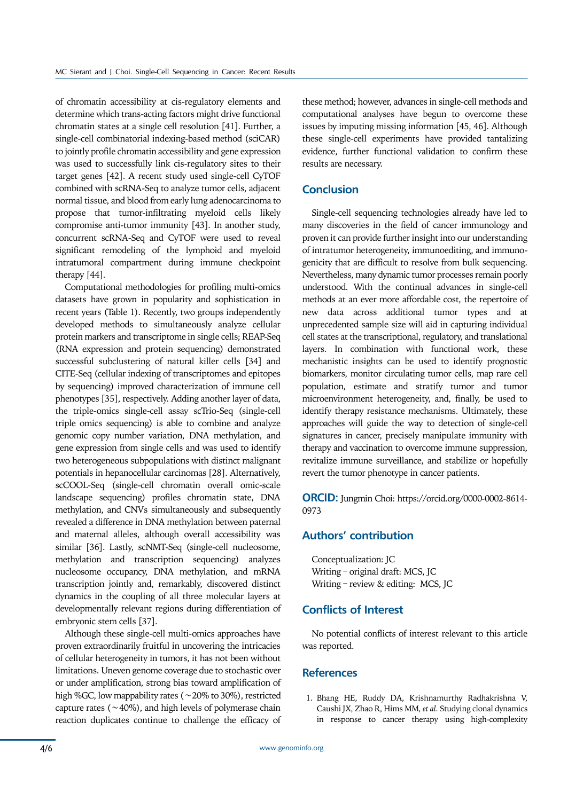of chromatin accessibility at cis-regulatory elements and determine which trans-acting factors might drive functional chromatin states at a single cell resolution [41]. Further, a single-cell combinatorial indexing-based method (sciCAR) to jointly profile chromatin accessibility and gene expression was used to successfully link cis-regulatory sites to their target genes [42]. A recent study used single-cell CyTOF combined with scRNA-Seq to analyze tumor cells, adjacent normal tissue, and blood from early lung adenocarcinoma to propose that tumor-infiltrating myeloid cells likely compromise anti-tumor immunity [43]. In another study, concurrent scRNA-Seq and CyTOF were used to reveal significant remodeling of the lymphoid and myeloid intratumoral compartment during immune checkpoint therapy [44].

Computational methodologies for profiling multi-omics datasets have grown in popularity and sophistication in recent years (Table 1). Recently, two groups independently developed methods to simultaneously analyze cellular protein markers and transcriptome in single cells; REAP-Seq (RNA expression and protein sequencing) demonstrated successful subclustering of natural killer cells [34] and CITE-Seq (cellular indexing of transcriptomes and epitopes by sequencing) improved characterization of immune cell phenotypes [35], respectively. Adding another layer of data, the triple-omics single-cell assay scTrio-Seq (single-cell triple omics sequencing) is able to combine and analyze genomic copy number variation, DNA methylation, and gene expression from single cells and was used to identify two heterogeneous subpopulations with distinct malignant potentials in hepanocellular carcinomas [28]. Alternatively, scCOOL-Seq (single-cell chromatin overall omic-scale landscape sequencing) profiles chromatin state, DNA methylation, and CNVs simultaneously and subsequently revealed a difference in DNA methylation between paternal and maternal alleles, although overall accessibility was similar [36]. Lastly, scNMT-Seq (single-cell nucleosome, methylation and transcription sequencing) analyzes nucleosome occupancy, DNA methylation, and mRNA transcription jointly and, remarkably, discovered distinct dynamics in the coupling of all three molecular layers at developmentally relevant regions during differentiation of embryonic stem cells [37].

Although these single-cell multi-omics approaches have proven extraordinarily fruitful in uncovering the intricacies of cellular heterogeneity in tumors, it has not been without limitations. Uneven genome coverage due to stochastic over or under amplification, strong bias toward amplification of high %GC, low mappability rates (∼20% to 30%), restricted capture rates (∼40%), and high levels of polymerase chain reaction duplicates continue to challenge the efficacy of

these method; however, advances in single-cell methods and computational analyses have begun to overcome these issues by imputing missing information [45, 46]. Although these single-cell experiments have provided tantalizing evidence, further functional validation to confirm these results are necessary.

#### **Conclusion**

Single-cell sequencing technologies already have led to many discoveries in the field of cancer immunology and proven it can provide further insight into our understanding of intratumor heterogeneity, immunoediting, and immunogenicity that are difficult to resolve from bulk sequencing. Nevertheless, many dynamic tumor processes remain poorly understood. With the continual advances in single-cell methods at an ever more affordable cost, the repertoire of new data across additional tumor types and at unprecedented sample size will aid in capturing individual cell states at the transcriptional, regulatory, and translational layers. In combination with functional work, these mechanistic insights can be used to identify prognostic biomarkers, monitor circulating tumor cells, map rare cell population, estimate and stratify tumor and tumor microenvironment heterogeneity, and, finally, be used to identify therapy resistance mechanisms. Ultimately, these approaches will guide the way to detection of single-cell signatures in cancer, precisely manipulate immunity with therapy and vaccination to overcome immune suppression, revitalize immune surveillance, and stabilize or hopefully revert the tumor phenotype in cancer patients.

**ORCID:** Jungmin Choi: https://orcid.org/0000-0002-8614- 0973

## **Authors' contribution**

Conceptualization: JC Writing – original draft: MCS, JC Writing – review & editing: MCS, JC

## **Conflicts of Interest**

No potential conflicts of interest relevant to this article was reported.

### **References**

1. Bhang HE, Ruddy DA, Krishnamurthy Radhakrishna V, Caushi JX, Zhao R, Hims MM, *et al*. Studying clonal dynamics in response to cancer therapy using high-complexity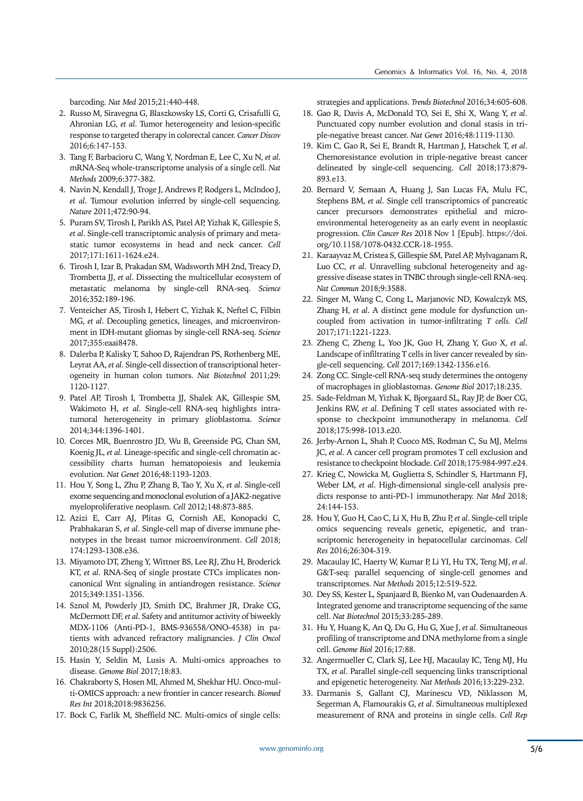barcoding. *Nat Med* 2015;21:440-448.

- 2. Russo M, Siravegna G, Blaszkowsky LS, Corti G, Crisafulli G, Ahronian LG, *et al*. Tumor heterogeneity and lesion-specific response to targeted therapy in colorectal cancer. *Cancer Discov* 2016;6:147-153.
- 3. Tang F, Barbacioru C, Wang Y, Nordman E, Lee C, Xu N, *et al*. mRNA-Seq whole-transcriptome analysis of a single cell. *Nat Methods* 2009;6:377-382.
- 4. Navin N, Kendall J, Troge J, Andrews P, Rodgers L, McIndoo J, *et al*. Tumour evolution inferred by single-cell sequencing. *Nature* 2011;472:90-94.
- 5. Puram SV, Tirosh I, Parikh AS, Patel AP, Yizhak K, Gillespie S, *et al*. Single-cell transcriptomic analysis of primary and metastatic tumor ecosystems in head and neck cancer. *Cell*  2017;171:1611-1624.e24.
- 6. Tirosh I, Izar B, Prakadan SM, Wadsworth MH 2nd, Treacy D, Trombetta JJ, *et al*. Dissecting the multicellular ecosystem of metastatic melanoma by single-cell RNA-seq. *Science*  2016;352:189-196.
- 7. Venteicher AS, Tirosh I, Hebert C, Yizhak K, Neftel C, Filbin MG, *et al*. Decoupling genetics, lineages, and microenvironment in IDH-mutant gliomas by single-cell RNA-seq. *Science*  2017;355:eaai8478.
- 8. Dalerba P, Kalisky T, Sahoo D, Rajendran PS, Rothenberg ME, Leyrat AA, *et al*. Single-cell dissection of transcriptional heterogeneity in human colon tumors. *Nat Biotechnol* 2011;29: 1120-1127.
- 9. Patel AP, Tirosh I, Trombetta JJ, Shalek AK, Gillespie SM, Wakimoto H, *et al*. Single-cell RNA-seq highlights intratumoral heterogeneity in primary glioblastoma. *Science* 2014;344:1396-1401.
- 10. Corces MR, Buenrostro JD, Wu B, Greenside PG, Chan SM, Koenig JL, *et al*. Lineage-specific and single-cell chromatin accessibility charts human hematopoiesis and leukemia evolution. *Nat Genet* 2016;48:1193-1203.
- 11. Hou Y, Song L, Zhu P, Zhang B, Tao Y, Xu X, *et al*. Single-cell exome sequencing and monoclonal evolution of a JAK2-negative myeloproliferative neoplasm. *Cell* 2012;148:873-885.
- 12. Azizi E, Carr AJ, Plitas G, Cornish AE, Konopacki C, Prabhakaran S, *et al*. Single-cell map of diverse immune phenotypes in the breast tumor microenvironment. *Cell* 2018; 174:1293-1308.e36.
- 13. Miyamoto DT, Zheng Y, Wittner BS, Lee RJ, Zhu H, Broderick KT, *et al*. RNA-Seq of single prostate CTCs implicates noncanonical Wnt signaling in antiandrogen resistance. *Science*  2015;349:1351-1356.
- 14. Sznol M, Powderly JD, Smith DC, Brahmer JR, Drake CG, McDermott DF, *et al*. Safety and antitumor activity of biweekly MDX-1106 (Anti-PD-1, BMS-936558/ONO-4538) in patients with advanced refractory malignancies. *J Clin Oncol* 2010;28(15 Suppl):2506.
- 15. Hasin Y, Seldin M, Lusis A. Multi-omics approaches to disease. *Genome Biol* 2017;18:83.
- 16. Chakraborty S, Hosen MI, Ahmed M, Shekhar HU. Onco-multi-OMICS approach: a new frontier in cancer research. *Biomed Res Int* 2018;2018:9836256.
- 17. Bock C, Farlik M, Sheffield NC. Multi-omics of single cells:

strategies and applications. *Trends Biotechnol* 2016;34:605-608.

- 18. Gao R, Davis A, McDonald TO, Sei E, Shi X, Wang Y, *et al*. Punctuated copy number evolution and clonal stasis in triple-negative breast cancer. *Nat Genet* 2016;48:1119-1130.
- 19. Kim C, Gao R, Sei E, Brandt R, Hartman J, Hatschek T, *et al*. Chemoresistance evolution in triple-negative breast cancer delineated by single-cell sequencing. *Cell* 2018;173:879- 893.e13.
- 20. Bernard V, Semaan A, Huang J, San Lucas FA, Mulu FC, Stephens BM, *et al*. Single cell transcriptomics of pancreatic cancer precursors demonstrates epithelial and microenvironmental heterogeneity as an early event in neoplastic progression. *Clin Cancer Res* 2018 Nov 1 [Epub]. https://doi. org/10.1158/1078-0432.CCR-18-1955.
- 21. Karaayvaz M, Cristea S, Gillespie SM, Patel AP, Mylvaganam R, Luo CC, *et al*. Unravelling subclonal heterogeneity and aggressive disease states in TNBC through single-cell RNA-seq. *Nat Commun* 2018;9:3588.
- 22. Singer M, Wang C, Cong L, Marjanovic ND, Kowalczyk MS, Zhang H, *et al*. A distinct gene module for dysfunction uncoupled from activation in tumor-infiltrating *T cells. Cell* 2017;171:1221-1223.
- 23. Zheng C, Zheng L, Yoo JK, Guo H, Zhang Y, Guo X, *et al*. Landscape of infiltrating T cells in liver cancer revealed by single-cell sequencing. *Cell* 2017;169:1342-1356.e16.
- 24. Zong CC. Single-cell RNA-seq study determines the ontogeny of macrophages in glioblastomas. *Genome Biol* 2017;18:235.
- 25. Sade-Feldman M, Yizhak K, Bjorgaard SL, Ray JP, de Boer CG, Jenkins RW, *et al*. Defining T cell states associated with response to checkpoint immunotherapy in melanoma. *Cell* 2018;175:998-1013.e20.
- 26. Jerby-Arnon L, Shah P, Cuoco MS, Rodman C, Su MJ, Melms JC, *et al*. A cancer cell program promotes T cell exclusion and resistance to checkpoint blockade. *Cell* 2018;175:984-997.e24.
- 27. Krieg C, Nowicka M, Guglietta S, Schindler S, Hartmann FJ, Weber LM, *et al*. High-dimensional single-cell analysis predicts response to anti-PD-1 immunotherapy. *Nat Med* 2018; 24:144-153.
- 28. Hou Y, Guo H, Cao C, Li X, Hu B, Zhu P, *et al*. Single-cell triple omics sequencing reveals genetic, epigenetic, and transcriptomic heterogeneity in hepatocellular carcinomas. *Cell Res* 2016;26:304-319.
- 29. Macaulay IC, Haerty W, Kumar P, Li YI, Hu TX, Teng MJ, *et al*. G&T-seq: parallel sequencing of single-cell genomes and transcriptomes. *Nat Methods* 2015;12:519-522.
- 30. Dey SS, Kester L, Spanjaard B, Bienko M, van Oudenaarden A. Integrated genome and transcriptome sequencing of the same cell. *Nat Biotechnol* 2015;33:285-289.
- 31. Hu Y, Huang K, An Q, Du G, Hu G, Xue J, *et al*. Simultaneous profiling of transcriptome and DNA methylome from a single cell. *Genome Biol* 2016;17:88.
- 32. Angermueller C, Clark SJ, Lee HJ, Macaulay IC, Teng MJ, Hu TX, *et al*. Parallel single-cell sequencing links transcriptional and epigenetic heterogeneity. *Nat Methods* 2016;13:229-232.
- 33. Darmanis S, Gallant CJ, Marinescu VD, Niklasson M, Segerman A, Flamourakis G, *et al*. Simultaneous multiplexed measurement of RNA and proteins in single cells. *Cell Rep*